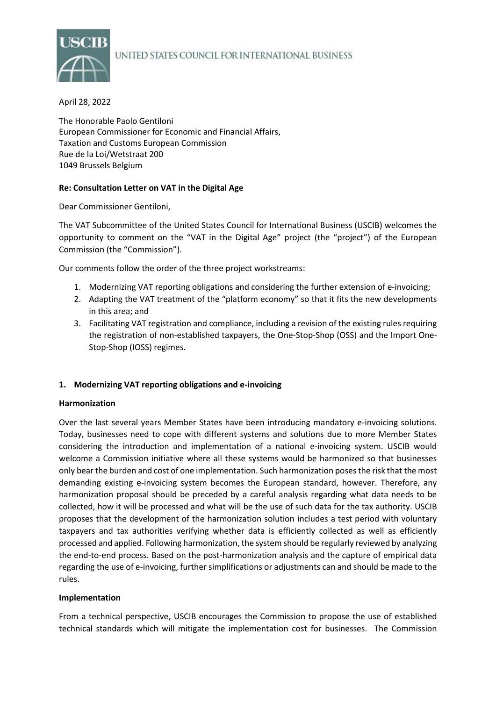

# UNITED STATES COUNCIL FOR INTERNATIONAL BUSINESS

### April 28, 2022

The Honorable Paolo Gentiloni European Commissioner for Economic and Financial Affairs, Taxation and Customs European Commission Rue de la Loi/Wetstraat 200 1049 Brussels Belgium

# **Re: Consultation Letter on VAT in the Digital Age**

Dear Commissioner Gentiloni,

The VAT Subcommittee of the United States Council for International Business (USCIB) welcomes the opportunity to comment on the "VAT in the Digital Age" project (the "project") of the European Commission (the "Commission").

Our comments follow the order of the three project workstreams:

- 1. Modernizing VAT reporting obligations and considering the further extension of e-invoicing;
- 2. Adapting the VAT treatment of the "platform economy" so that it fits the new developments in this area; and
- 3. Facilitating VAT registration and compliance, including a revision of the existing rules requiring the registration of non-established taxpayers, the One-Stop-Shop (OSS) and the Import One-Stop-Shop (IOSS) regimes.

# **1. Modernizing VAT reporting obligations and e-invoicing**

#### **Harmonization**

Over the last several years Member States have been introducing mandatory e-invoicing solutions. Today, businesses need to cope with different systems and solutions due to more Member States considering the introduction and implementation of a national e-invoicing system. USCIB would welcome a Commission initiative where all these systems would be harmonized so that businesses only bear the burden and cost of one implementation. Such harmonization poses the risk that the most demanding existing e-invoicing system becomes the European standard, however. Therefore, any harmonization proposal should be preceded by a careful analysis regarding what data needs to be collected, how it will be processed and what will be the use of such data for the tax authority. USCIB proposes that the development of the harmonization solution includes a test period with voluntary taxpayers and tax authorities verifying whether data is efficiently collected as well as efficiently processed and applied. Following harmonization, the system should be regularly reviewed by analyzing the end-to-end process. Based on the post-harmonization analysis and the capture of empirical data regarding the use of e-invoicing, further simplifications or adjustments can and should be made to the rules.

#### **Implementation**

From a technical perspective, USCIB encourages the Commission to propose the use of established technical standards which will mitigate the implementation cost for businesses. The Commission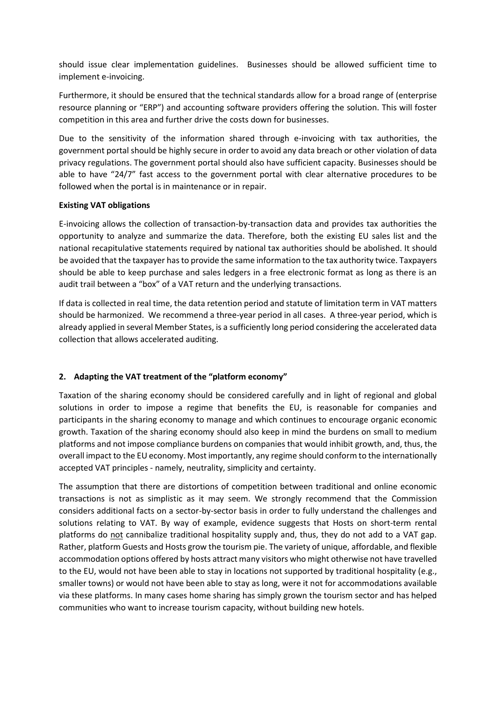should issue clear implementation guidelines. Businesses should be allowed sufficient time to implement e-invoicing.

Furthermore, it should be ensured that the technical standards allow for a broad range of (enterprise resource planning or "ERP") and accounting software providers offering the solution. This will foster competition in this area and further drive the costs down for businesses.

Due to the sensitivity of the information shared through e-invoicing with tax authorities, the government portal should be highly secure in order to avoid any data breach or other violation of data privacy regulations. The government portal should also have sufficient capacity. Businesses should be able to have "24/7" fast access to the government portal with clear alternative procedures to be followed when the portal is in maintenance or in repair.

### **Existing VAT obligations**

E-invoicing allows the collection of transaction-by-transaction data and provides tax authorities the opportunity to analyze and summarize the data. Therefore, both the existing EU sales list and the national recapitulative statements required by national tax authorities should be abolished. It should be avoided that the taxpayer has to provide the same information to the tax authority twice. Taxpayers should be able to keep purchase and sales ledgers in a free electronic format as long as there is an audit trail between a "box" of a VAT return and the underlying transactions.

If data is collected in real time, the data retention period and statute of limitation term in VAT matters should be harmonized. We recommend a three-year period in all cases. A three-year period, which is already applied in several Member States, is a sufficiently long period considering the accelerated data collection that allows accelerated auditing.

# **2. Adapting the VAT treatment of the "platform economy"**

Taxation of the sharing economy should be considered carefully and in light of regional and global solutions in order to impose a regime that benefits the EU, is reasonable for companies and participants in the sharing economy to manage and which continues to encourage organic economic growth. Taxation of the sharing economy should also keep in mind the burdens on small to medium platforms and not impose compliance burdens on companies that would inhibit growth, and, thus, the overall impact to the EU economy. Most importantly, any regime should conform to the internationally accepted VAT principles - namely, neutrality, simplicity and certainty.

The assumption that there are distortions of competition between traditional and online economic transactions is not as simplistic as it may seem. We strongly recommend that the Commission considers additional facts on a sector-by-sector basis in order to fully understand the challenges and solutions relating to VAT. By way of example, evidence suggests that Hosts on short-term rental platforms do not cannibalize traditional hospitality supply and, thus, they do not add to a VAT gap. Rather, platform Guests and Hosts grow the tourism pie. The variety of unique, affordable, and flexible accommodation options offered by hosts attract many visitors who might otherwise not have travelled to the EU, would not have been able to stay in locations not supported by traditional hospitality (e.g., smaller towns) or would not have been able to stay as long, were it not for accommodations available via these platforms. In many cases home sharing has simply grown the tourism sector and has helped communities who want to increase tourism capacity, without building new hotels.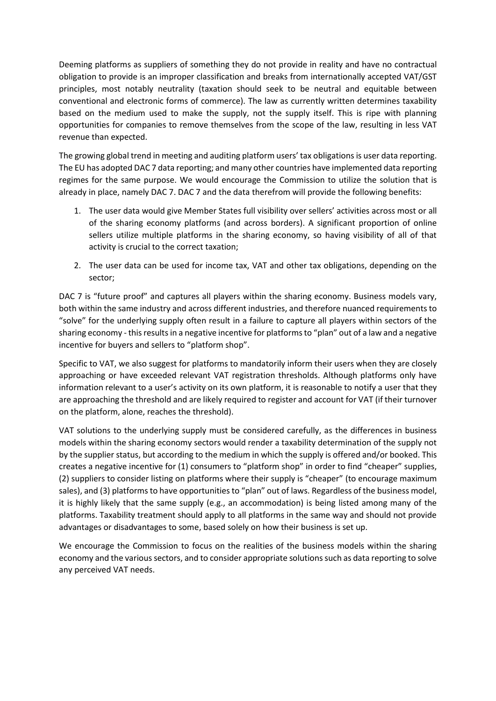Deeming platforms as suppliers of something they do not provide in reality and have no contractual obligation to provide is an improper classification and breaks from internationally accepted VAT/GST principles, most notably neutrality (taxation should seek to be neutral and equitable between conventional and electronic forms of commerce). The law as currently written determines taxability based on the medium used to make the supply, not the supply itself. This is ripe with planning opportunities for companies to remove themselves from the scope of the law, resulting in less VAT revenue than expected.

The growing global trend in meeting and auditing platform users' tax obligations is user data reporting. The EU has adopted DAC 7 data reporting; and many other countries have implemented data reporting regimes for the same purpose. We would encourage the Commission to utilize the solution that is already in place, namely DAC 7. DAC 7 and the data therefrom will provide the following benefits:

- 1. The user data would give Member States full visibility over sellers' activities across most or all of the sharing economy platforms (and across borders). A significant proportion of online sellers utilize multiple platforms in the sharing economy, so having visibility of all of that activity is crucial to the correct taxation;
- 2. The user data can be used for income tax, VAT and other tax obligations, depending on the sector;

DAC 7 is "future proof" and captures all players within the sharing economy. Business models vary, both within the same industry and across different industries, and therefore nuanced requirements to "solve" for the underlying supply often result in a failure to capture all players within sectors of the sharing economy - this results in a negative incentive for platforms to "plan" out of a law and a negative incentive for buyers and sellers to "platform shop".

Specific to VAT, we also suggest for platforms to mandatorily inform their users when they are closely approaching or have exceeded relevant VAT registration thresholds. Although platforms only have information relevant to a user's activity on its own platform, it is reasonable to notify a user that they are approaching the threshold and are likely required to register and account for VAT (if their turnover on the platform, alone, reaches the threshold).

VAT solutions to the underlying supply must be considered carefully, as the differences in business models within the sharing economy sectors would render a taxability determination of the supply not by the supplier status, but according to the medium in which the supply is offered and/or booked. This creates a negative incentive for (1) consumers to "platform shop" in order to find "cheaper" supplies, (2) suppliers to consider listing on platforms where their supply is "cheaper" (to encourage maximum sales), and (3) platforms to have opportunities to "plan" out of laws. Regardless of the business model, it is highly likely that the same supply (e.g., an accommodation) is being listed among many of the platforms. Taxability treatment should apply to all platforms in the same way and should not provide advantages or disadvantages to some, based solely on how their business is set up.

We encourage the Commission to focus on the realities of the business models within the sharing economy and the various sectors, and to consider appropriate solutions such as data reporting to solve any perceived VAT needs.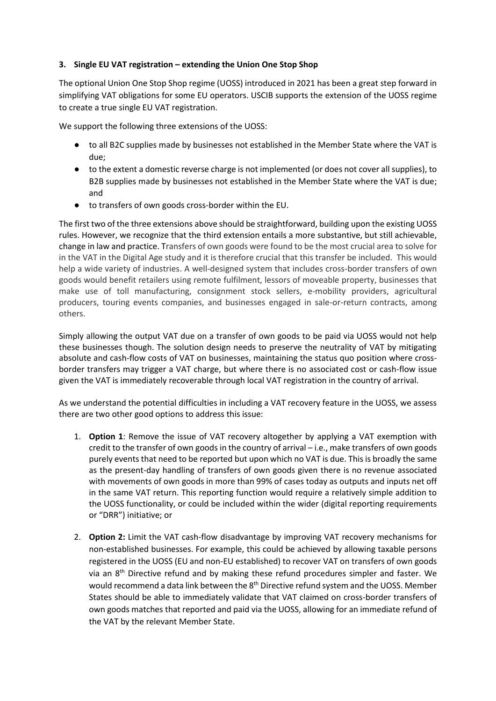# **3. Single EU VAT registration – extending the Union One Stop Shop**

The optional Union One Stop Shop regime (UOSS) introduced in 2021 has been a great step forward in simplifying VAT obligations for some EU operators. USCIB supports the extension of the UOSS regime to create a true single EU VAT registration.

We support the following three extensions of the UOSS:

- to all B2C supplies made by businesses not established in the Member State where the VAT is due;
- to the extent a domestic reverse charge is not implemented (or does not cover all supplies), to B2B supplies made by businesses not established in the Member State where the VAT is due; and
- to transfers of own goods cross-border within the EU.

The first two of the three extensions above should be straightforward, building upon the existing UOSS rules. However, we recognize that the third extension entails a more substantive, but still achievable, change in law and practice. Transfers of own goods were found to be the most crucial area to solve for in the VAT in the Digital Age study and it is therefore crucial that this transfer be included. This would help a wide variety of industries. A well-designed system that includes cross-border transfers of own goods would benefit retailers using remote fulfilment, lessors of moveable property, businesses that make use of toll manufacturing, consignment stock sellers, e-mobility providers, agricultural producers, touring events companies, and businesses engaged in sale-or-return contracts, among others.

Simply allowing the output VAT due on a transfer of own goods to be paid via UOSS would not help these businesses though. The solution design needs to preserve the neutrality of VAT by mitigating absolute and cash-flow costs of VAT on businesses, maintaining the status quo position where crossborder transfers may trigger a VAT charge, but where there is no associated cost or cash-flow issue given the VAT is immediately recoverable through local VAT registration in the country of arrival.

As we understand the potential difficulties in including a VAT recovery feature in the UOSS, we assess there are two other good options to address this issue:

- 1. **Option 1**: Remove the issue of VAT recovery altogether by applying a VAT exemption with credit to the transfer of own goods in the country of arrival – i.e., make transfers of own goods purely events that need to be reported but upon which no VAT is due. This is broadly the same as the present-day handling of transfers of own goods given there is no revenue associated with movements of own goods in more than 99% of cases today as outputs and inputs net off in the same VAT return. This reporting function would require a relatively simple addition to the UOSS functionality, or could be included within the wider (digital reporting requirements or "DRR") initiative; or
- 2. **Option 2:** Limit the VAT cash-flow disadvantage by improving VAT recovery mechanisms for non-established businesses. For example, this could be achieved by allowing taxable persons registered in the UOSS (EU and non-EU established) to recover VAT on transfers of own goods via an 8<sup>th</sup> Directive refund and by making these refund procedures simpler and faster. We would recommend a data link between the 8<sup>th</sup> Directive refund system and the UOSS. Member States should be able to immediately validate that VAT claimed on cross-border transfers of own goods matches that reported and paid via the UOSS, allowing for an immediate refund of the VAT by the relevant Member State.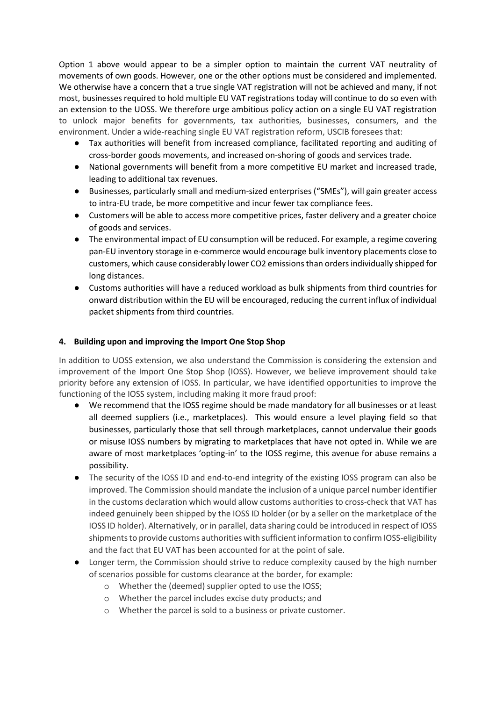Option 1 above would appear to be a simpler option to maintain the current VAT neutrality of movements of own goods. However, one or the other options must be considered and implemented. We otherwise have a concern that a true single VAT registration will not be achieved and many, if not most, businesses required to hold multiple EU VAT registrations today will continue to do so even with an extension to the UOSS. We therefore urge ambitious policy action on a single EU VAT registration to unlock major benefits for governments, tax authorities, businesses, consumers, and the environment. Under a wide-reaching single EU VAT registration reform, USCIB foresees that:

- Tax authorities will benefit from increased compliance, facilitated reporting and auditing of cross-border goods movements, and increased on-shoring of goods and services trade.
- National governments will benefit from a more competitive EU market and increased trade, leading to additional tax revenues.
- Businesses, particularly small and medium-sized enterprises ("SMEs"), will gain greater access to intra-EU trade, be more competitive and incur fewer tax compliance fees.
- Customers will be able to access more competitive prices, faster delivery and a greater choice of goods and services.
- The environmental impact of EU consumption will be reduced. For example, a regime covering pan-EU inventory storage in e-commerce would encourage bulk inventory placements close to customers, which cause considerably lower CO2 emissions than orders individually shipped for long distances.
- Customs authorities will have a reduced workload as bulk shipments from third countries for onward distribution within the EU will be encouraged, reducing the current influx of individual packet shipments from third countries.

# **4. Building upon and improving the Import One Stop Shop**

In addition to UOSS extension, we also understand the Commission is considering the extension and improvement of the Import One Stop Shop (IOSS). However, we believe improvement should take priority before any extension of IOSS. In particular, we have identified opportunities to improve the functioning of the IOSS system, including making it more fraud proof:

- We recommend that the IOSS regime should be made mandatory for all businesses or at least all deemed suppliers (i.e., marketplaces). This would ensure a level playing field so that businesses, particularly those that sell through marketplaces, cannot undervalue their goods or misuse IOSS numbers by migrating to marketplaces that have not opted in. While we are aware of most marketplaces 'opting-in' to the IOSS regime, this avenue for abuse remains a possibility.
- The security of the IOSS ID and end-to-end integrity of the existing IOSS program can also be improved. The Commission should mandate the inclusion of a unique parcel number identifier in the customs declaration which would allow customs authorities to cross-check that VAT has indeed genuinely been shipped by the IOSS ID holder (or by a seller on the marketplace of the IOSS ID holder). Alternatively, or in parallel, data sharing could be introduced in respect of IOSS shipments to provide customs authorities with sufficient information to confirm IOSS-eligibility and the fact that EU VAT has been accounted for at the point of sale.
- Longer term, the Commission should strive to reduce complexity caused by the high number of scenarios possible for customs clearance at the border, for example:
	- o Whether the (deemed) supplier opted to use the IOSS;
	- o Whether the parcel includes excise duty products; and
	- o Whether the parcel is sold to a business or private customer.